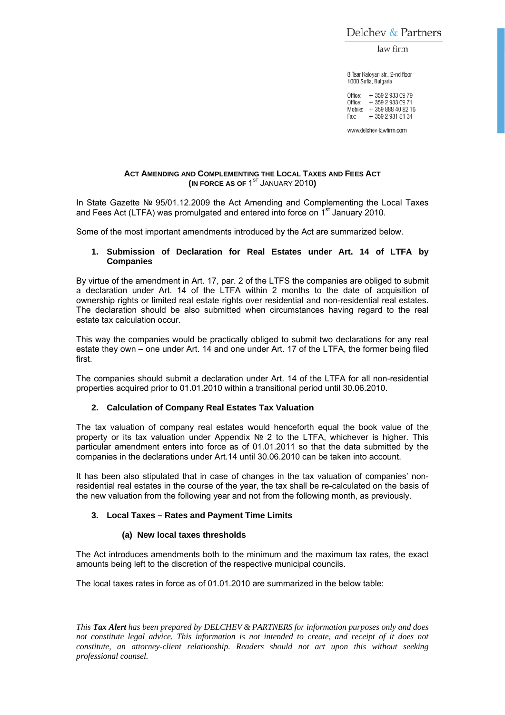Delchev & Partners

law firm

8 Tsar Kaloyan str., 2-nd floor 1000 Sofia, Bulgaria

Office: + 359 2 933 09 79 Office: +359 2 933 09 71 Mobile: +359 888 40 82 16 + 359 2 981 81 34 Fax:

www.delchev-lawfirm.com

## **ACT AMENDING AND COMPLEMENTING THE LOCAL TAXES AND FEES ACT**  $\left(\text{IN FORCE AS OF }1^\text{ST} \right)$  JANUARY 2010)

In State Gazette № 95/01.12.2009 the Act Amending and Complementing the Local Taxes and Fees Act (LTFA) was promulgated and entered into force on  $1<sup>st</sup>$  January 2010.

Some of the most important amendments introduced by the Act are summarized below.

# **1. Submission of Declaration for Real Estates under Art. 14 of LTFA by Companies**

By virtue of the amendment in Art. 17, par. 2 of the LTFS the companies are obliged to submit a declaration under Art. 14 of the LTFA within 2 months to the date of acquisition of ownership rights or limited real estate rights over residential and non-residential real estates. The declaration should be also submitted when circumstances having regard to the real estate tax calculation occur.

This way the companies would be practically obliged to submit two declarations for any real estate they own – one under Art. 14 and one under Art. 17 of the LTFA, the former being filed first.

The companies should submit a declaration under Art. 14 of the LTFA for all non-residential properties acquired prior to 01.01.2010 within a transitional period until 30.06.2010.

## **2. Calculation of Company Real Estates Tax Valuation**

The tax valuation of company real estates would henceforth equal the book value of the property or its tax valuation under Appendix № 2 to the LTFA, whichever is higher. This particular amendment enters into force as of 01.01.2011 so that the data submitted by the companies in the declarations under Art.14 until 30.06.2010 can be taken into account.

It has been also stipulated that in case of changes in the tax valuation of companies' nonresidential real estates in the course of the year, the tax shall be re-calculated on the basis of the new valuation from the following year and not from the following month, as previously.

## **3. Local Taxes – Rates and Payment Time Limits**

## **(a) New local taxes thresholds**

The Act introduces amendments both to the minimum and the maximum tax rates, the exact amounts being left to the discretion of the respective municipal councils.

The local taxes rates in force as of 01.01.2010 are summarized in the below table:

*This Tax Alert has been prepared by DELCHEV & PARTNERS for information purposes only and does not constitute legal advice. This information is not intended to create, and receipt of it does not constitute, an attorney-client relationship. Readers should not act upon this without seeking professional counsel.*